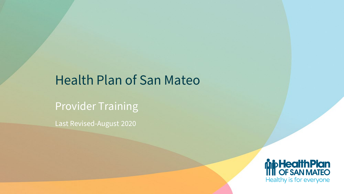### Health Plan of San Mateo

Provider Training

Last Revised-August 2020

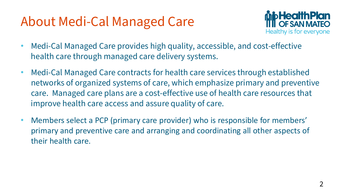### About Medi-Cal Managed Care



- Medi-Cal Managed Care provides high quality, accessible, and cost-effective health care through managed care delivery systems.
- Medi-Cal Managed Care contracts for health care services through established networks of organized systems of care, which emphasize primary and preventive care. Managed care plans are a cost-effective use of health care resources that improve health care access and assure quality of care.
- Members select a PCP (primary care provider) who is responsible for members' primary and preventive care and arranging and coordinating all other aspects of their health care.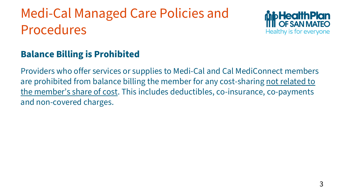# Medi-Cal Managed Care Policies and Procedures



### **Balance Billing is Prohibited**

Providers who offer services or supplies to Medi-Cal and Cal MediConnect members are prohibited from balance billing the member for any cost-sharing not related to the member's share of cost. This includes deductibles, co-insurance, co-payments and non-covered charges.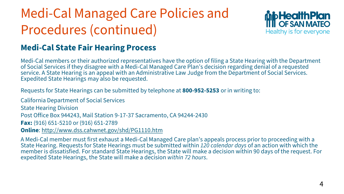# Medi-Cal Managed Care Policies and Procedures (continued)



### **Medi-Cal State Fair Hearing Process**

Medi-Cal members or their authorized representatives have the option of filing a State Hearing with the Department of Social Services if they disagree with a Medi-Cal Managed Care Plan's decision regarding denial of a requested service. A State Hearing is an appeal with an Administrative Law Judge from the Department of Social Services. Expedited State Hearings may also be requested.

Requests for State Hearings can be submitted by telephone at **800-952-5253** or in writing to:

California Department of Social Services State Hearing Division Post Office Box 944243, Mail Station 9-17-37 Sacramento, CA 94244-2430 **Fax:** (916) 651-5210 or (916) 651-2789 **Online**: <http://www.dss.cahwnet.gov/shd/PG1110.htm>

A Medi-Cal member must first exhaust a Medi-Cal Managed Care plan's appeals process prior to proceeding with a State Hearing. Requests for State Hearings must be submitted within *120 calendar days* of an action with which the member is dissatisfied. For standard State Hearings, the State will make a decision within 90 days of the request. For expedited State Hearings, the State will make a decision *within 72 hours*.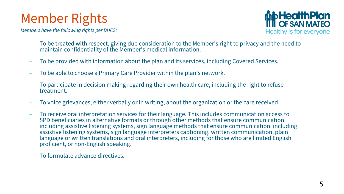### Member Rights

*Members have the following rights per DHCS:*



- To be treated with respect, giving due consideration to the Member's right to privacy and the need to maintain confidentiality of the Member's medical information.
- To be provided with information about the plan and its services, including Covered Services.
- To be able to choose a Primary Care Provider within the plan's network.
- To participate in decision making regarding their own health care, including the right to refuse treatment.
- To voice grievances, either verbally or in writing, about the organization or the care received.
- To receive oral interpretation services for their language. This includes communication access to SPD beneficiaries in alternative formats or through other methods that ensure communication, including assistive listening systems, sign language methods that ensure communication, including assistive listening systems, sign language interpreters captioning, written communication, plain language or written translations and oral interpreters, including for those who are limited English proficient, or non-English speaking.
- To formulate advance directives.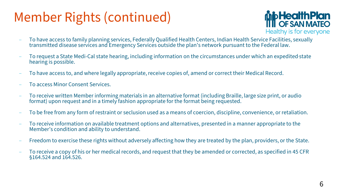### Member Rights (continued)



- To have access to family planning services, Federally Qualified Health Centers, Indian Health Service Facilities, sexually transmitted disease services and Emergency Services outside the plan's network pursuant to the Federal law.
- To request a State Medi-Cal state hearing, including information on the circumstances under which an expedited state hearing is possible.
- To have access to, and where legally appropriate, receive copies of, amend or correct their Medical Record.
- To access Minor Consent Services.
- To receive written Member informing materials in an alternative format (including Braille, large size print, or audio format) upon request and in a timely fashion appropriate for the format being requested.
- To be free from any form of restraint or seclusion used as a means of coercion, discipline, convenience, or retaliation.
- To receive information on available treatment options and alternatives, presented in a manner appropriate to the Member's condition and ability to understand.
- Freedom to exercise these rights without adversely affecting how they are treated by the plan, providers, or the State.
- To receive a copy of his or her medical records, and request that they be amended or corrected, as specified in 45 CFR §164.524 and 164.526.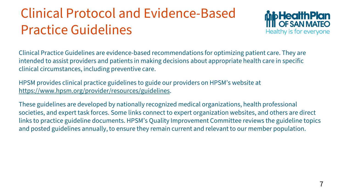# Clinical Protocol and Evidence-Based Practice Guidelines



Clinical Practice Guidelines are evidence-based recommendations for optimizing patient care. They are intended to assist providers and patients in making decisions about appropriate health care in specific clinical circumstances, including preventive care.

HPSM provides clinical practice guidelines to guide our providers on HPSM's website at <https://www.hpsm.org/provider/resources/guidelines>.

These guidelines are developed by nationally recognized medical organizations, health professional societies, and expert task forces. Some links connect to expert organization websites, and others are direct links to practice guideline documents. HPSM's Quality Improvement Committee reviews the guideline topics and posted guidelines annually, to ensure they remain current and relevant to our member population.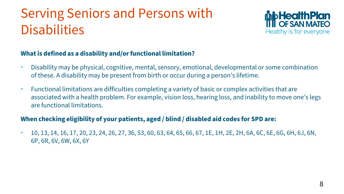# Serving Seniors and Persons with **Disabilities**



#### **What is defined as a disability and/or functional limitation?**

- Disability may be physical, cognitive, mental, sensory, emotional, developmental or some combination of these. A disability may be present from birth or occur during a person's lifetime.
- Functional limitations are difficulties completing a variety of basic or complex activities that are associated with a health problem. For example, vision loss, hearing loss, and inability to move one's legs are functional limitations.

#### **When checking eligibility of your patients, aged / blind / disabled aid codes for SPD are:**

 $\cdot$  10, 13, 14, 16, 17, 20, 23, 24, 26, 27, 36, 53, 60, 63, 64, 65, 66, 67, 1E, 1H, 2E, 2H, 6A, 6C, 6E, 6G, 6H, 6J, 6N, 6P, 6R, 6V, 6W, 6X, 6Y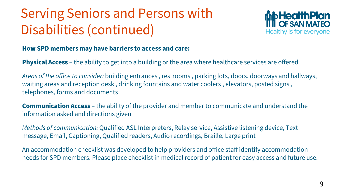# Serving Seniors and Persons with Disabilities (continued)



#### **How SPD members may have barriers to access and care:**

**Physical Access** – the ability to get into a building or the area where healthcare services are offered

*Areas of the office to consider:* building entrances , restrooms , parking lots, doors, doorways and hallways, waiting areas and reception desk , drinking fountains and water coolers , elevators, posted signs , telephones, forms and documents

**Communication Access** – the ability of the provider and member to communicate and understand the information asked and directions given

*Methods of communication:* Qualified ASL Interpreters, Relay service, Assistive listening device, Text message, Email, Captioning, Qualified readers, Audio recordings, Braille, Large print

An accommodation checklist was developed to help providers and office staff identify accommodation needs for SPD members. Please place checklist in medical record of patient for easy access and future use.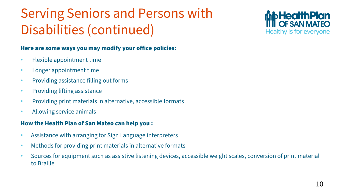# Serving Seniors and Persons with Disabilities (continued)

#### **Here are some ways you may modify your office policies:**

- Flexible appointment time
- Longer appointment time
- Providing assistance filling out forms
- Providing lifting assistance
- Providing print materials in alternative, accessible formats
- Allowing service animals

#### **How the Health Plan of San Mateo can help you :**

- Assistance with arranging for Sign Language interpreters
- Methods for providing print materials in alternative formats
- Sources for equipment such as assistive listening devices, accessible weight scales, conversion of print material to Braille

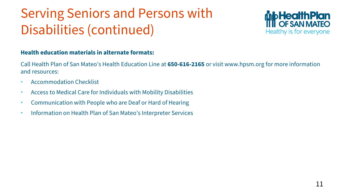# Serving Seniors and Persons with Disabilities (continued)



#### **Health education materials in alternate formats:**

Call Health Plan of San Mateo's Health Education Line at **650-616-2165** or visit www.hpsm.org for more information and resources:

- Accommodation Checklist
- Access to Medical Care for Individuals with Mobility Disabilities
- Communication with People who are Deaf or Hard of Hearing
- Information on Health Plan of San Mateo's Interpreter Services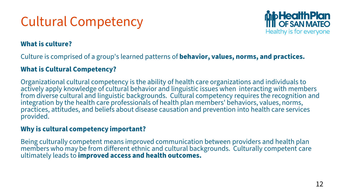## Cultural Competency



#### **What is culture?**

Culture is comprised of a group's learned patterns of **behavior, values, norms, and practices.** 

#### **What is Cultural Competency?**

Organizational cultural competency is the ability of health care organizations and individuals to actively apply knowledge of cultural behavior and linguistic issues when interacting with members from diverse cultural and linguistic backgrounds. Cultural competency requires the recognition and integration by the health care professionals of health plan members' behaviors, values, norms, practices, attitudes, and beliefs about disease causation and prevention into health care services provided.

#### **Why is cultural competency important?**

Being culturally competent means improved communication between providers and health plan members who may be from different ethnic and cultural backgrounds. Culturally competent care ultimately leads to **improved access and health outcomes.**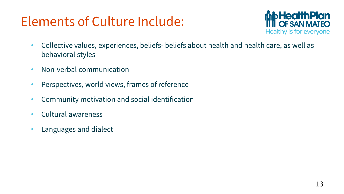### Elements of Culture Include:



- Collective values, experiences, beliefs- beliefs about health and health care, as well as behavioral styles
- Non-verbal communication
- Perspectives, world views, frames of reference
- Community motivation and social identification
- Cultural awareness
- Languages and dialect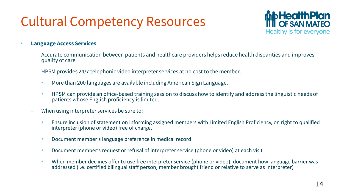### Cultural Competency Resources



- **Language Access Services**
	- Accurate communication between patients and healthcare providers helps reduce health disparities and improves quality of care.
	- HPSM provides 24/7 telephonic video interpreter services at no cost to the member.
		- More than 200 languages are available including American Sign Language.
		- HPSM can provide an office-based training session to discuss how to identify and address the linguistic needs of patients whose English proficiency is limited.
	- When using interpreter services be sure to:
		- Ensure inclusion of statement on informing assigned members with Limited English Proficiency, on right to qualified interpreter (phone or video) free of charge.
		- Document member's language preference in medical record
		- Document member's request or refusal of interpreter service (phone or video) at each visit
		- When member declines offer to use free interpreter service (phone or video), document how language barrier was addressed (i.e. certified bilingual staff person, member brought friend or relative to serve as interpreter)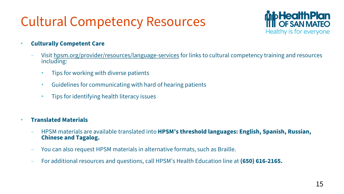### Cultural Competency Resources



- **Culturally Competent Care**
	- Visit [hpsm.org/provider/resources/language-services](https://www.hpsm.org/provider/resources/language-services) for links to cultural competency training and resources including:
		- Tips for working with diverse patients
		- Guidelines for communicating with hard of hearing patients
		- Tips for identifying health literacy issues
- **Translated Materials**
	- HPSM materials are available translated into **HPSM's threshold languages: English, Spanish, Russian, Chinese and Tagalog.**
	- You can also request HPSM materials in alternative formats, such as Braille.
	- For additional resources and questions, call HPSM's Health Education line at **(650) 616-2165.**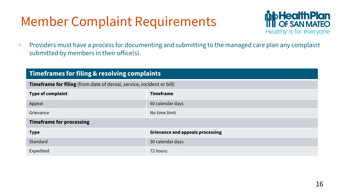### Member Complaint Requirements



• Providers must have a process for documenting and submitting to the managed care plan any complaint submitted by members in their office(s).

| <b>Timeframes for filing &amp; resolving complaints</b>               |                                         |
|-----------------------------------------------------------------------|-----------------------------------------|
| Timeframe for filing (from date of denial, service, incident or bill) |                                         |
| Type of complaint                                                     | <b>Timeframe</b>                        |
| Appeal                                                                | 60 calendar days                        |
| Grievance                                                             | No time limit                           |
| <b>Timeframe for processing</b>                                       |                                         |
| <b>Type</b>                                                           | <b>Grievance and appeals processing</b> |
| Standard                                                              | 30 calendar days                        |
| Expedited                                                             | 72 hours                                |